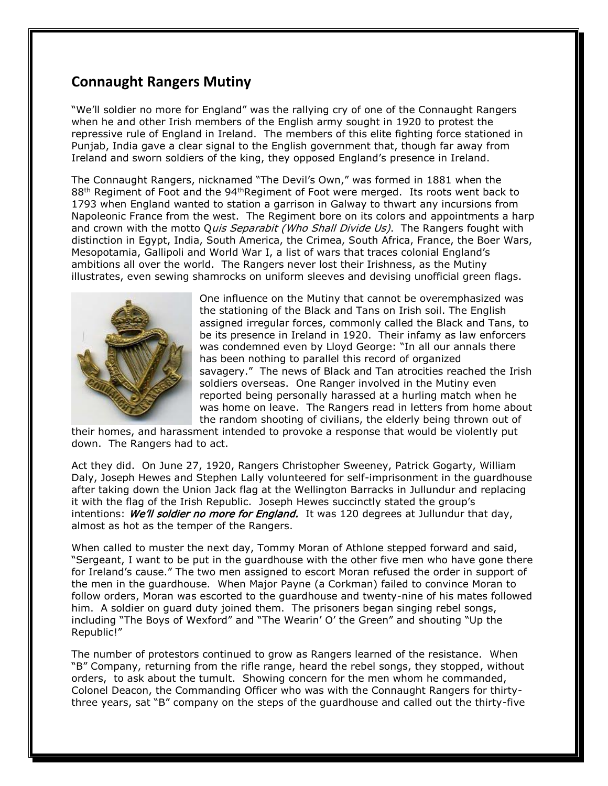## **Connaught Rangers Mutiny**

"We'll soldier no more for England" was the rallying cry of one of the Connaught Rangers when he and other Irish members of the English army sought in 1920 to protest the repressive rule of England in Ireland. The members of this elite fighting force stationed in Punjab, India gave a clear signal to the English government that, though far away from Ireland and sworn soldiers of the king, they opposed England's presence in Ireland.

The Connaught Rangers, nicknamed "The Devil's Own," was formed in 1881 when the 88<sup>th</sup> Regiment of Foot and the 94<sup>th</sup>Regiment of Foot were merged. Its roots went back to 1793 when England wanted to station a garrison in Galway to thwart any incursions from Napoleonic France from the west. The Regiment bore on its colors and appointments a harp and crown with the motto Quis Separabit (Who Shall Divide Us). The Rangers fought with distinction in Egypt, India, South America, the Crimea, South Africa, France, the Boer Wars, Mesopotamia, Gallipoli and World War I, a list of wars that traces colonial England's ambitions all over the world. The Rangers never lost their Irishness, as the Mutiny illustrates, even sewing shamrocks on uniform sleeves and devising unofficial green flags.



One influence on the Mutiny that cannot be overemphasized was the stationing of the Black and Tans on Irish soil. The English assigned irregular forces, commonly called the Black and Tans, to be its presence in Ireland in 1920. Their infamy as law enforcers was condemned even by Lloyd George: "In all our annals there has been nothing to parallel this record of organized savagery." The news of Black and Tan atrocities reached the Irish soldiers overseas. One Ranger involved in the Mutiny even reported being personally harassed at a hurling match when he was home on leave. The Rangers read in letters from home about the random shooting of civilians, the elderly being thrown out of

their homes, and harassment intended to provoke a response that would be violently put down. The Rangers had to act.

Act they did. On June 27, 1920, Rangers Christopher Sweeney, Patrick Gogarty, William Daly, Joseph Hewes and Stephen Lally volunteered for self-imprisonment in the guardhouse after taking down the Union Jack flag at the Wellington Barracks in Jullundur and replacing it with the flag of the Irish Republic. Joseph Hewes succinctly stated the group's intentions: We'll soldier no more for England. It was 120 degrees at Jullundur that day, almost as hot as the temper of the Rangers.

When called to muster the next day, Tommy Moran of Athlone stepped forward and said, "Sergeant, I want to be put in the guardhouse with the other five men who have gone there for Ireland's cause." The two men assigned to escort Moran refused the order in support of the men in the guardhouse. When Major Payne (a Corkman) failed to convince Moran to follow orders, Moran was escorted to the guardhouse and twenty-nine of his mates followed him. A soldier on guard duty joined them. The prisoners began singing rebel songs, including "The Boys of Wexford" and "The Wearin' O' the Green" and shouting "Up the Republic!"

The number of protestors continued to grow as Rangers learned of the resistance. When "B" Company, returning from the rifle range, heard the rebel songs, they stopped, without orders, to ask about the tumult. Showing concern for the men whom he commanded, Colonel Deacon, the Commanding Officer who was with the Connaught Rangers for thirtythree years, sat "B" company on the steps of the guardhouse and called out the thirty-five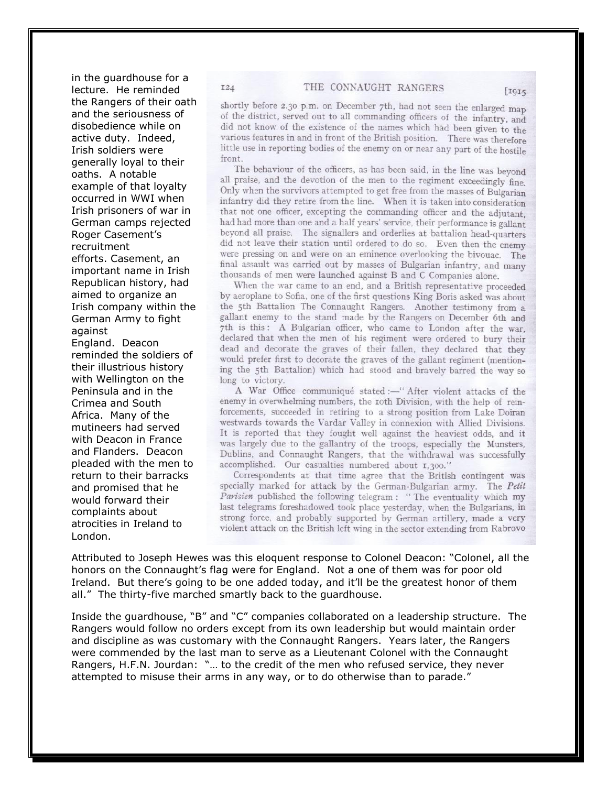in the guardhouse for a lecture. He reminded the Rangers of their oath and the seriousness of disobedience while on active duty. Indeed, Irish soldiers were generally loyal to their oaths. A notable example of that loyalty occurred in WWI when Irish prisoners of war in German camps rejected Roger Casement's recruitment efforts. Casement, an important name in Irish Republican history, had aimed to organize an Irish company within the German Army to fight against England. Deacon reminded the soldiers of their illustrious history with Wellington on the Peninsula and in the Crimea and South Africa. Many of the mutineers had served with Deacon in France

**I24** 

and Flanders. Deacon pleaded with the men to return to their barracks and promised that he would forward their complaints about atrocities in Ireland to London.

shortly before 2.30 p.m. on December 7th, had not seen the enlarged map of the district, served out to all commanding officers of the infantry, and did not know of the existence of the names which had been given to the various features in and in front of the British position. There was therefore little use in reporting bodies of the enemy on or near any part of the hostile front.

The behaviour of the officers, as has been said, in the line was beyond all praise, and the devotion of the men to the regiment exceedingly fine. Only when the survivors attempted to get free from the masses of Bulgarian infantry did they retire from the line. When it is taken into consideration that not one officer, excepting the commanding officer and the adjutant. had had more than one and a half years' service, their performance is gallant beyond all praise. The signallers and orderlies at battalion head-quarters did not leave their station until ordered to do so. Even then the enemy were pressing on and were on an eminence overlooking the bivouac. The final assault was carried out by masses of Bulgarian infantry, and many thousands of men were launched against B and C Companies alone.

When the war came to an end, and a British representative proceeded by aeroplane to Sofia, one of the first questions King Boris asked was about the 5th Battalion The Connaught Rangers. Another testimony from a gallant enemy to the stand made by the Rangers on December 6th and 7th is this: A Bulgarian officer, who came to London after the war, declared that when the men of his regiment were ordered to bury their dead and decorate the graves of their fallen, they declared that they would prefer first to decorate the graves of the gallant regiment (mentioning the 5th Battalion) which had stood and bravely barred the way so long to victory.

A War Office communiqué stated :- "After violent attacks of the enemy in overwhelming numbers, the roth Division, with the help of reinforcements, succeeded in retiring to a strong position from Lake Doiran westwards towards the Vardar Valley in connexion with Allied Divisions. It is reported that they fought well against the heaviest odds, and it was largely due to the gallantry of the troops, especially the Munsters, Dublins, and Connaught Rangers, that the withdrawal was successfully accomplished. Our casualties numbered about 1,300."

Correspondents at that time agree that the British contingent was specially marked for attack by the German-Bulgarian army. The Petit Parisien published the following telegram: "The eventuality which my last telegrams foreshadowed took place yesterday, when the Bulgarians, in strong force, and probably supported by German artillery, made a very violent attack on the British left wing in the sector extending from Rabrovo

Attributed to Joseph Hewes was this eloquent response to Colonel Deacon: "Colonel, all the honors on the Connaught's flag were for England. Not a one of them was for poor old Ireland. But there's going to be one added today, and it'll be the greatest honor of them all." The thirty-five marched smartly back to the guardhouse.

Inside the guardhouse, "B" and "C" companies collaborated on a leadership structure. The Rangers would follow no orders except from its own leadership but would maintain order and discipline as was customary with the Connaught Rangers. Years later, the Rangers were commended by the last man to serve as a Lieutenant Colonel with the Connaught Rangers, H.F.N. Jourdan: "… to the credit of the men who refused service, they never attempted to misuse their arms in any way, or to do otherwise than to parade."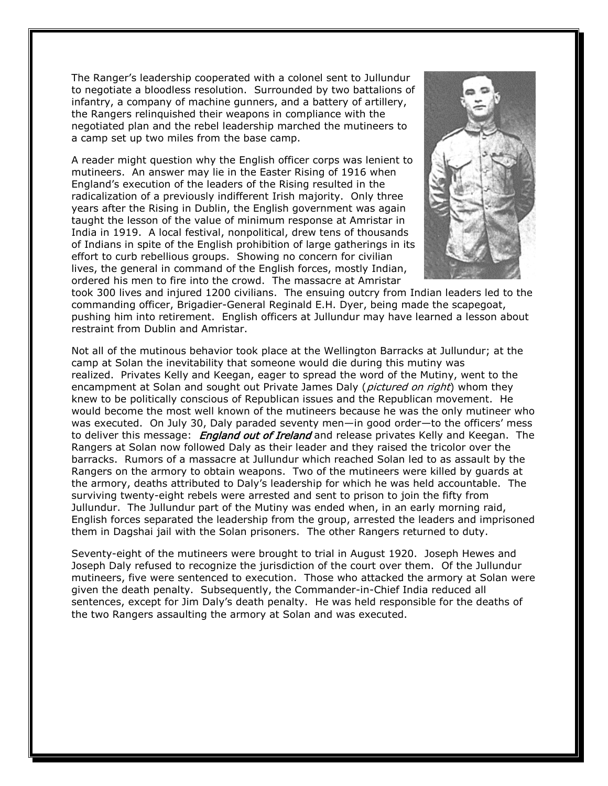The Ranger's leadership cooperated with a colonel sent to Jullundur to negotiate a bloodless resolution. Surrounded by two battalions of infantry, a company of machine gunners, and a battery of artillery, the Rangers relinquished their weapons in compliance with the negotiated plan and the rebel leadership marched the mutineers to a camp set up two miles from the base camp.

A reader might question why the English officer corps was lenient to mutineers. An answer may lie in the Easter Rising of 1916 when England's execution of the leaders of the Rising resulted in the radicalization of a previously indifferent Irish majority. Only three years after the Rising in Dublin, the English government was again taught the lesson of the value of minimum response at Amristar in India in 1919. A local festival, nonpolitical, drew tens of thousands of Indians in spite of the English prohibition of large gatherings in its effort to curb rebellious groups. Showing no concern for civilian lives, the general in command of the English forces, mostly Indian, ordered his men to fire into the crowd. The massacre at Amristar



took 300 lives and injured 1200 civilians. The ensuing outcry from Indian leaders led to the commanding officer, Brigadier-General Reginald E.H. Dyer, being made the scapegoat, pushing him into retirement. English officers at Jullundur may have learned a lesson about restraint from Dublin and Amristar.

Not all of the mutinous behavior took place at the Wellington Barracks at Jullundur; at the camp at Solan the inevitability that someone would die during this mutiny was realized. Privates Kelly and Keegan, eager to spread the word of the Mutiny, went to the encampment at Solan and sought out Private James Daly (*pictured on right*) whom they knew to be politically conscious of Republican issues and the Republican movement. He would become the most well known of the mutineers because he was the only mutineer who was executed. On July 30, Daly paraded seventy men—in good order—to the officers' mess to deliver this message: **England out of Ireland** and release privates Kelly and Keegan. The Rangers at Solan now followed Daly as their leader and they raised the tricolor over the barracks. Rumors of a massacre at Jullundur which reached Solan led to as assault by the Rangers on the armory to obtain weapons. Two of the mutineers were killed by guards at the armory, deaths attributed to Daly's leadership for which he was held accountable. The surviving twenty-eight rebels were arrested and sent to prison to join the fifty from Jullundur. The Jullundur part of the Mutiny was ended when, in an early morning raid, English forces separated the leadership from the group, arrested the leaders and imprisoned them in Dagshai jail with the Solan prisoners. The other Rangers returned to duty.

Seventy-eight of the mutineers were brought to trial in August 1920. Joseph Hewes and Joseph Daly refused to recognize the jurisdiction of the court over them. Of the Jullundur mutineers, five were sentenced to execution. Those who attacked the armory at Solan were given the death penalty. Subsequently, the Commander-in-Chief India reduced all sentences, except for Jim Daly's death penalty. He was held responsible for the deaths of the two Rangers assaulting the armory at Solan and was executed.